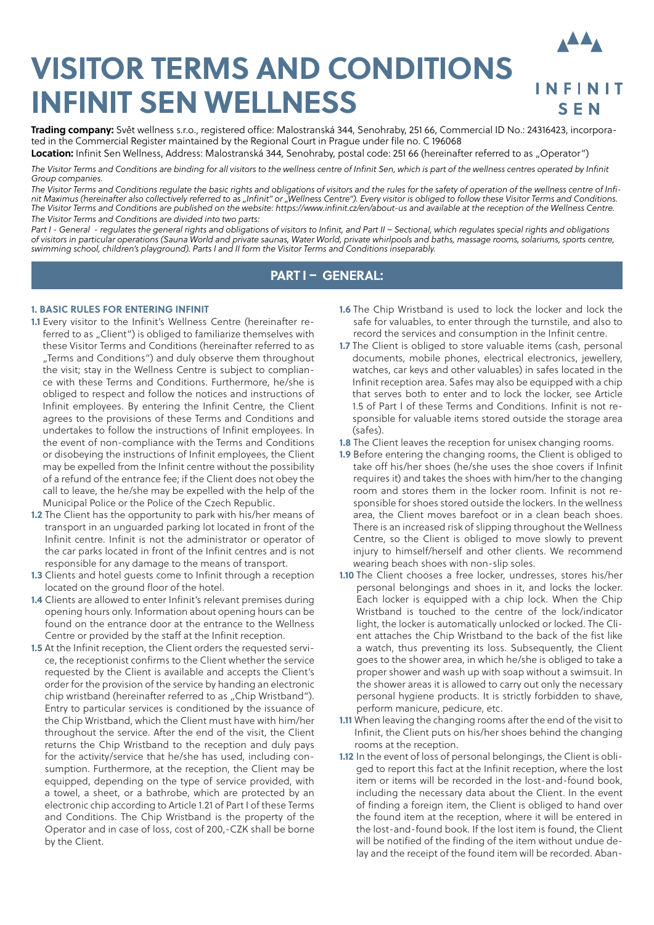# **VISITOR TERMS AND CONDITIONS INFINIT SEN WELLNESS**



**Trading company:** Svět wellness s.r.o., registered office: Malostranská 344, Senohraby, 251 66, Commercial ID No.: 24316423, incorporated in the Commercial Register maintained by the Regional Court in Prague under file no. C 196068

Location: Infinit Sen Wellness, Address: Malostranská 344, Senohraby, postal code: 251 66 (hereinafter referred to as "Operator") The Visitor Terms and Conditions are binding for all visitors to the wellness centre of Infinit Sen, which is part of the wellness centres operated by Infinit

*Group companies.*

*The Visitor Terms and Conditions regulate the basic rights and obligations of visitors and the rules for the safety of operation of the wellness centre of Infinit Maximus (hereinafter also collectively referred to as "Infinit" or "Wellness Centre"). Every visitor is obliged to follow these Visitor Terms and Conditions. The Visitor Terms and Conditions are published on the website: https://www.infinit.cz/en/about-us and available at the reception of the Wellness Centre. The Visitor Terms and Conditions are divided into two parts:*

*Part I - General - regulates the general rights and obligations of visitors to Infinit, and Part II – Sectional, which regulates special rights and obligations of visitors in particular operations (Sauna World and private saunas, Water World, private whirlpools and baths, massage rooms, solariums, sports centre, swimming school, children's playground). Parts I and II form the Visitor Terms and Conditions inseparably.*

# **PART I – GENERAL:**

# **1. BASIC RULES FOR ENTERING INFINIT**

- **1.1** Every visitor to the Infinit's Wellness Centre (hereinafter referred to as "Client") is obliged to familiarize themselves with these Visitor Terms and Conditions (hereinafter referred to as "Terms and Conditions") and duly observe them throughout the visit; stay in the Wellness Centre is subject to compliance with these Terms and Conditions. Furthermore, he/she is obliged to respect and follow the notices and instructions of Infinit employees. By entering the Infinit Centre, the Client agrees to the provisions of these Terms and Conditions and undertakes to follow the instructions of Infinit employees. In the event of non-compliance with the Terms and Conditions or disobeying the instructions of Infinit employees, the Client may be expelled from the Infinit centre without the possibility of a refund of the entrance fee; if the Client does not obey the call to leave, the he/she may be expelled with the help of the Municipal Police or the Police of the Czech Republic.
- **1.2** The Client has the opportunity to park with his/her means of transport in an unguarded parking lot located in front of the Infinit centre. Infinit is not the administrator or operator of the car parks located in front of the Infinit centres and is not responsible for any damage to the means of transport.
- **1.3** Clients and hotel guests come to Infinit through a reception located on the ground floor of the hotel.
- **1.4** Clients are allowed to enter Infinit's relevant premises during opening hours only. Information about opening hours can be found on the entrance door at the entrance to the Wellness Centre or provided by the staff at the Infinit reception.
- **1.5** At the Infinit reception, the Client orders the requested service, the receptionist confirms to the Client whether the service requested by the Client is available and accepts the Client's order for the provision of the service by handing an electronic chip wristband (hereinafter referred to as "Chip Wristband"). Entry to particular services is conditioned by the issuance of the Chip Wristband, which the Client must have with him/her throughout the service. After the end of the visit, the Client returns the Chip Wristband to the reception and duly pays for the activity/service that he/she has used, including consumption. Furthermore, at the reception, the Client may be equipped, depending on the type of service provided, with a towel, a sheet, or a bathrobe, which are protected by an electronic chip according to Article 1.21 of Part I of these Terms and Conditions. The Chip Wristband is the property of the Operator and in case of loss, cost of 200,-CZK shall be borne by the Client.
- **1.6** The Chip Wristband is used to lock the locker and lock the safe for valuables, to enter through the turnstile, and also to record the services and consumption in the Infinit centre.
- **1.7** The Client is obliged to store valuable items (cash, personal documents, mobile phones, electrical electronics, jewellery, watches, car keys and other valuables) in safes located in the Infinit reception area. Safes may also be equipped with a chip that serves both to enter and to lock the locker, see Article 1.5 of Part I of these Terms and Conditions. Infinit is not responsible for valuable items stored outside the storage area (safes).
- **1.8** The Client leaves the reception for unisex changing rooms.
- **1.9** Before entering the changing rooms, the Client is obliged to take off his/her shoes (he/she uses the shoe covers if Infinit requires it) and takes the shoes with him/her to the changing room and stores them in the locker room. Infinit is not responsible for shoes stored outside the lockers. In the wellness area, the Client moves barefoot or in a clean beach shoes. There is an increased risk of slipping throughout the Wellness Centre, so the Client is obliged to move slowly to prevent injury to himself/herself and other clients. We recommend wearing beach shoes with non-slip soles.
- **1.10** The Client chooses a free locker, undresses, stores his/her personal belongings and shoes in it, and locks the locker. Each locker is equipped with a chip lock. When the Chip Wristband is touched to the centre of the lock/indicator light, the locker is automatically unlocked or locked. The Client attaches the Chip Wristband to the back of the fist like a watch, thus preventing its loss. Subsequently, the Client goes to the shower area, in which he/she is obliged to take a proper shower and wash up with soap without a swimsuit. In the shower areas it is allowed to carry out only the necessary personal hygiene products. It is strictly forbidden to shave, perform manicure, pedicure, etc.
- **1.11** When leaving the changing rooms after the end of the visit to Infinit, the Client puts on his/her shoes behind the changing rooms at the reception.
- **1.12** In the event of loss of personal belongings, the Client is obliged to report this fact at the Infinit reception, where the lost item or items will be recorded in the lost-and-found book, including the necessary data about the Client. In the event of finding a foreign item, the Client is obliged to hand over the found item at the reception, where it will be entered in the lost-and-found book. If the lost item is found, the Client will be notified of the finding of the item without undue delay and the receipt of the found item will be recorded. Aban-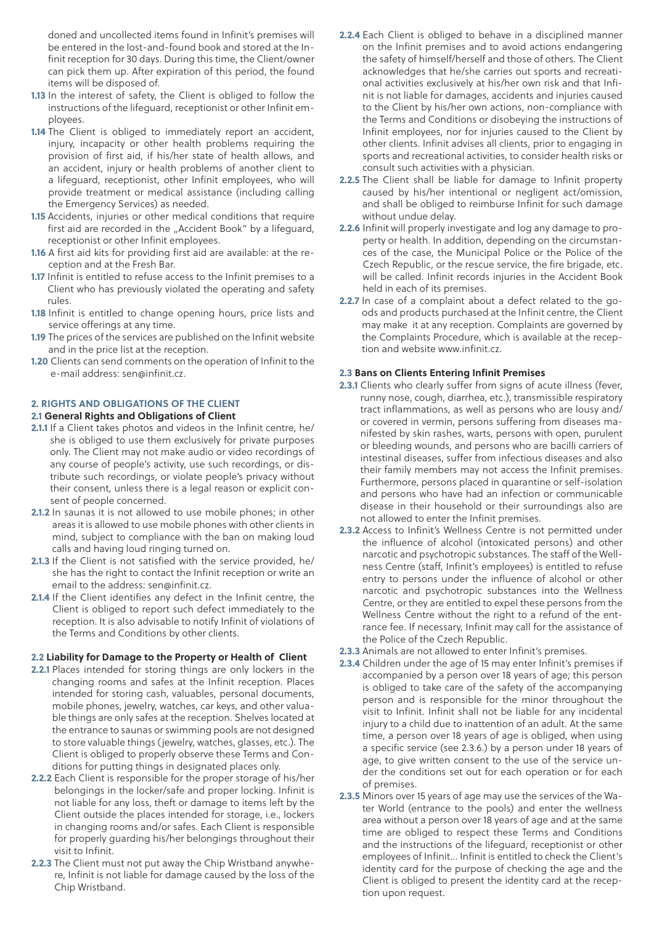doned and uncollected items found in Infinit's premises will be entered in the lost-and-found book and stored at the Infinit reception for 30 days. During this time, the Client/owner can pick them up. After expiration of this period, the found items will be disposed of.

- **1.13** In the interest of safety, the Client is obliged to follow the instructions of the lifeguard, receptionist or other Infinit employees.
- **1.14** The Client is obliged to immediately report an accident, injury, incapacity or other health problems requiring the provision of first aid, if his/her state of health allows, and an accident, injury or health problems of another client to a lifeguard, receptionist, other Infinit employees, who will provide treatment or medical assistance (including calling the Emergency Services) as needed.
- **1.15** Accidents, injuries or other medical conditions that require first aid are recorded in the "Accident Book" by a lifeguard, receptionist or other Infinit employees.
- **1.16** A first aid kits for providing first aid are available: at the reception and at the Fresh Bar.
- **1.17** Infinit is entitled to refuse access to the Infinit premises to a Client who has previously violated the operating and safety rules.
- **1.18** Infinit is entitled to change opening hours, price lists and service offerings at any time.
- **1.19** The prices of the services are published on the Infinit website and in the price list at the reception.
- **1.20** Clients can send comments on the operation of Infinit to the e-mail address: sen@infinit.cz.

# **2. RIGHTS AND OBLIGATIONS OF THE CLIENT**

### **2.1 General Rights and Obligations of Client**

- **2.1.1** If a Client takes photos and videos in the Infinit centre, he/ she is obliged to use them exclusively for private purposes only. The Client may not make audio or video recordings of any course of people's activity, use such recordings, or distribute such recordings, or violate people's privacy without their consent, unless there is a legal reason or explicit consent of people concerned.
- **2.1.2** In saunas it is not allowed to use mobile phones; in other areas it is allowed to use mobile phones with other clients in mind, subject to compliance with the ban on making loud calls and having loud ringing turned on.
- **2.1.3** If the Client is not satisfied with the service provided, he/ she has the right to contact the Infinit reception or write an email to the address: sen@infinit.cz.
- **2.1.4** If the Client identifies any defect in the Infinit centre, the Client is obliged to report such defect immediately to the reception. It is also advisable to notify Infinit of violations of the Terms and Conditions by other clients.

#### **2.2 Liability for Damage to the Property or Health of Client**

- **2.2.1** Places intended for storing things are only lockers in the changing rooms and safes at the Infinit reception. Places intended for storing cash, valuables, personal documents, mobile phones, jewelry, watches, car keys, and other valuable things are only safes at the reception. Shelves located at the entrance to saunas or swimming pools are not designed to store valuable things (jewelry, watches, glasses, etc.). The Client is obliged to properly observe these Terms and Conditions for putting things in designated places only.
- **2.2.2** Each Client is responsible for the proper storage of his/her belongings in the locker/safe and proper locking. Infinit is not liable for any loss, theft or damage to items left by the Client outside the places intended for storage, i.e., lockers in changing rooms and/or safes. Each Client is responsible for properly guarding his/her belongings throughout their visit to Infinit.
- **2.2.3** The Client must not put away the Chip Wristband anywhere, Infinit is not liable for damage caused by the loss of the Chip Wristband.
- **2.2.4** Each Client is obliged to behave in a disciplined manner on the Infinit premises and to avoid actions endangering the safety of himself/herself and those of others. The Client acknowledges that he/she carries out sports and recreational activities exclusively at his/her own risk and that Infinit is not liable for damages, accidents and injuries caused to the Client by his/her own actions, non-compliance with the Terms and Conditions or disobeying the instructions of Infinit employees, nor for injuries caused to the Client by other clients. Infinit advises all clients, prior to engaging in sports and recreational activities, to consider health risks or consult such activities with a physician.
- **2.2.5** The Client shall be liable for damage to Infinit property caused by his/her intentional or negligent act/omission, and shall be obliged to reimburse Infinit for such damage without undue delay.
- **2.2.6** Infinit will properly investigate and log any damage to property or health. In addition, depending on the circumstances of the case, the Municipal Police or the Police of the Czech Republic, or the rescue service, the fire brigade, etc. will be called. Infinit records injuries in the Accident Book held in each of its premises.
- **2.2.7** In case of a complaint about a defect related to the goods and products purchased at the Infinit centre, the Client may make it at any reception. Complaints are governed by the Complaints Procedure, which is available at the reception and website www.infinit.cz.

# **2.3 Bans on Clients Entering Infinit Premises**

- **2.3.1** Clients who clearly suffer from signs of acute illness (fever, runny nose, cough, diarrhea, etc.), transmissible respiratory tract inflammations, as well as persons who are lousy and/ or covered in vermin, persons suffering from diseases manifested by skin rashes, warts, persons with open, purulent or bleeding wounds, and persons who are bacilli carriers of intestinal diseases, suffer from infectious diseases and also their family members may not access the Infinit premises. Furthermore, persons placed in quarantine or self-isolation and persons who have had an infection or communicable disease in their household or their surroundings also are not allowed to enter the Infinit premises.
- **2.3.2** Access to Infinit's Wellness Centre is not permitted under the influence of alcohol (intoxicated persons) and other narcotic and psychotropic substances. The staff of the Wellness Centre (staff, Infinit's employees) is entitled to refuse entry to persons under the influence of alcohol or other narcotic and psychotropic substances into the Wellness Centre, or they are entitled to expel these persons from the Wellness Centre without the right to a refund of the entrance fee. If necessary, Infinit may call for the assistance of the Police of the Czech Republic.
- **2.3.3** Animals are not allowed to enter Infinit's premises.
- **2.3.4** Children under the age of 15 may enter Infinit's premises if accompanied by a person over 18 years of age; this person is obliged to take care of the safety of the accompanying person and is responsible for the minor throughout the visit to Infinit. Infinit shall not be liable for any incidental injury to a child due to inattention of an adult. At the same time, a person over 18 years of age is obliged, when using a specific service (see 2.3.6.) by a person under 18 years of age, to give written consent to the use of the service under the conditions set out for each operation or for each of premises.
- **2.3.5** Minors over 15 years of age may use the services of the Water World (entrance to the pools) and enter the wellness area without a person over 18 years of age and at the same time are obliged to respect these Terms and Conditions and the instructions of the lifeguard, receptionist or other employees of Infinit... Infinit is entitled to check the Client's identity card for the purpose of checking the age and the Client is obliged to present the identity card at the reception upon request.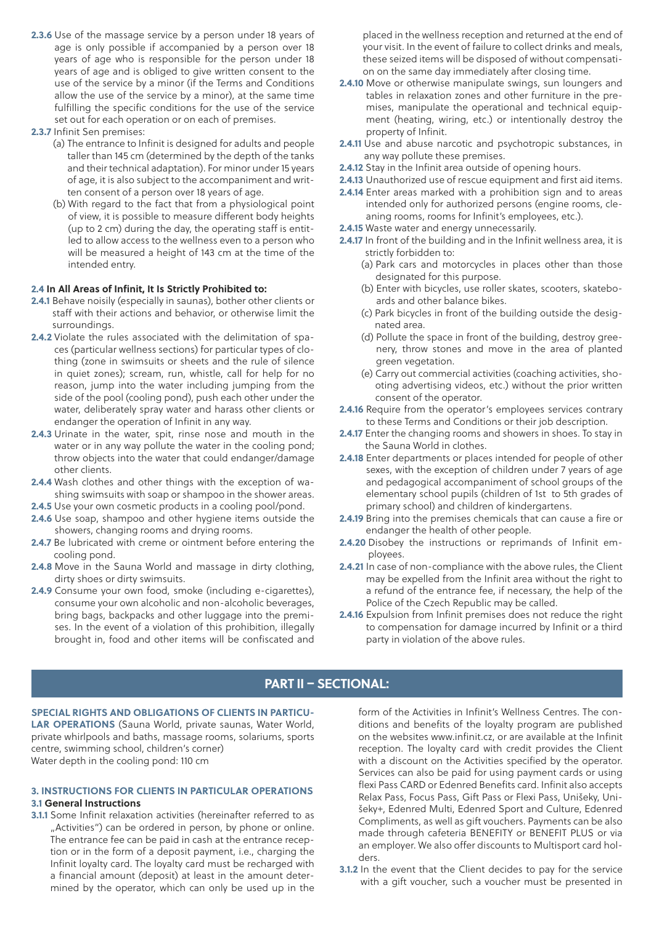**2.3.6** Use of the massage service by a person under 18 years of age is only possible if accompanied by a person over 18 years of age who is responsible for the person under 18 years of age and is obliged to give written consent to the use of the service by a minor (if the Terms and Conditions allow the use of the service by a minor), at the same time fulfilling the specific conditions for the use of the service set out for each operation or on each of premises.

#### **2.3.7** Infinit Sen premises:

- (a) The entrance to Infinit is designed for adults and people taller than 145 cm (determined by the depth of the tanks and their technical adaptation). For minor under 15 years of age, it is also subject to the accompaniment and written consent of a person over 18 years of age.
- (b) With regard to the fact that from a physiological point of view, it is possible to measure different body heights (up to 2 cm) during the day, the operating staff is entitled to allow access to the wellness even to a person who will be measured a height of 143 cm at the time of the intended entry.

#### **2.4 In All Areas of Infinit, It Is Strictly Prohibited to:**

- **2.4.1** Behave noisily (especially in saunas), bother other clients or staff with their actions and behavior, or otherwise limit the surroundings.
- **2.4.2** Violate the rules associated with the delimitation of spaces (particular wellness sections) for particular types of clothing (zone in swimsuits or sheets and the rule of silence in quiet zones); scream, run, whistle, call for help for no reason, jump into the water including jumping from the side of the pool (cooling pond), push each other under the water, deliberately spray water and harass other clients or endanger the operation of Infinit in any way.
- **2.4.3** Urinate in the water, spit, rinse nose and mouth in the water or in any way pollute the water in the cooling pond; throw objects into the water that could endanger/damage other clients.
- **2.4.4** Wash clothes and other things with the exception of washing swimsuits with soap or shampoo in the shower areas.
- **2.4.5** Use your own cosmetic products in a cooling pool/pond.
- **2.4.6** Use soap, shampoo and other hygiene items outside the showers, changing rooms and drying rooms.
- **2.4.7** Be lubricated with creme or ointment before entering the cooling pond.
- **2.4.8** Move in the Sauna World and massage in dirty clothing, dirty shoes or dirty swimsuits.
- **2.4.9** Consume your own food, smoke (including e-cigarettes), consume your own alcoholic and non-alcoholic beverages, bring bags, backpacks and other luggage into the premises. In the event of a violation of this prohibition, illegally brought in, food and other items will be confiscated and

placed in the wellness reception and returned at the end of your visit. In the event of failure to collect drinks and meals, these seized items will be disposed of without compensation on the same day immediately after closing time.

- **2.4.10** Move or otherwise manipulate swings, sun loungers and tables in relaxation zones and other furniture in the premises, manipulate the operational and technical equipment (heating, wiring, etc.) or intentionally destroy the property of Infinit.
- **2.4.11** Use and abuse narcotic and psychotropic substances, in any way pollute these premises.
- **2.4.12** Stay in the Infinit area outside of opening hours.
- **2.4.13** Unauthorized use of rescue equipment and first aid items.
- **2.4.14** Enter areas marked with a prohibition sign and to areas intended only for authorized persons (engine rooms, cleaning rooms, rooms for Infinit's employees, etc.).
- **2.4.15** Waste water and energy unnecessarily.
- **2.4.17** In front of the building and in the Infinit wellness area, it is strictly forbidden to:
	- (a) Park cars and motorcycles in places other than those designated for this purpose.
	- (b) Enter with bicycles, use roller skates, scooters, skateboards and other balance bikes.
	- (c) Park bicycles in front of the building outside the designated area.
	- (d) Pollute the space in front of the building, destroy greenery, throw stones and move in the area of planted green vegetation.
	- (e) Carry out commercial activities (coaching activities, shooting advertising videos, etc.) without the prior written consent of the operator.
- **2.4.16** Require from the operator's employees services contrary to these Terms and Conditions or their job description.
- **2.4.17** Enter the changing rooms and showers in shoes. To stay in the Sauna World in clothes.
- **2.4.18** Enter departments or places intended for people of other sexes, with the exception of children under 7 years of age and pedagogical accompaniment of school groups of the elementary school pupils (children of 1st to 5th grades of primary school) and children of kindergartens.
- **2.4.19** Bring into the premises chemicals that can cause a fire or endanger the health of other people.
- **2.4.20** Disobey the instructions or reprimands of Infinit employees.
- **2.4.21** In case of non-compliance with the above rules, the Client may be expelled from the Infinit area without the right to a refund of the entrance fee, if necessary, the help of the Police of the Czech Republic may be called.
- **2.4.16** Expulsion from Infinit premises does not reduce the right to compensation for damage incurred by Infinit or a third party in violation of the above rules.

# **PART II – SECTIONAL:**

**SPECIAL RIGHTS AND OBLIGATIONS OF CLIENTS IN PARTICU-LAR OPERATIONS** (Sauna World, private saunas, Water World, private whirlpools and baths, massage rooms, solariums, sports centre, swimming school, children's corner) Water depth in the cooling pond: 110 cm

### **3. INSTRUCTIONS FOR CLIENTS IN PARTICULAR OPERATIONS 3.1 General Instructions**

**3.1.1** Some Infinit relaxation activities (hereinafter referred to as "Activities") can be ordered in person, by phone or online. The entrance fee can be paid in cash at the entrance reception or in the form of a deposit payment, i.e., charging the Infinit loyalty card. The loyalty card must be recharged with a financial amount (deposit) at least in the amount determined by the operator, which can only be used up in the

form of the Activities in Infinit's Wellness Centres. The conditions and benefits of the loyalty program are published on the websites www.infinit.cz, or are available at the Infinit reception. The loyalty card with credit provides the Client with a discount on the Activities specified by the operator. Services can also be paid for using payment cards or using flexi Pass CARD or Edenred Benefits card. Infinit also accepts Relax Pass, Focus Pass, Gift Pass or Flexi Pass, Unišeky, Unišeky+, Edenred Multi, Edenred Sport and Culture, Edenred Compliments, as well as gift vouchers. Payments can be also made through cafeteria BENEFITY or BENEFIT PLUS or via an employer. We also offer discounts to Multisport card holders.

**3.1.2** In the event that the Client decides to pay for the service with a gift voucher, such a voucher must be presented in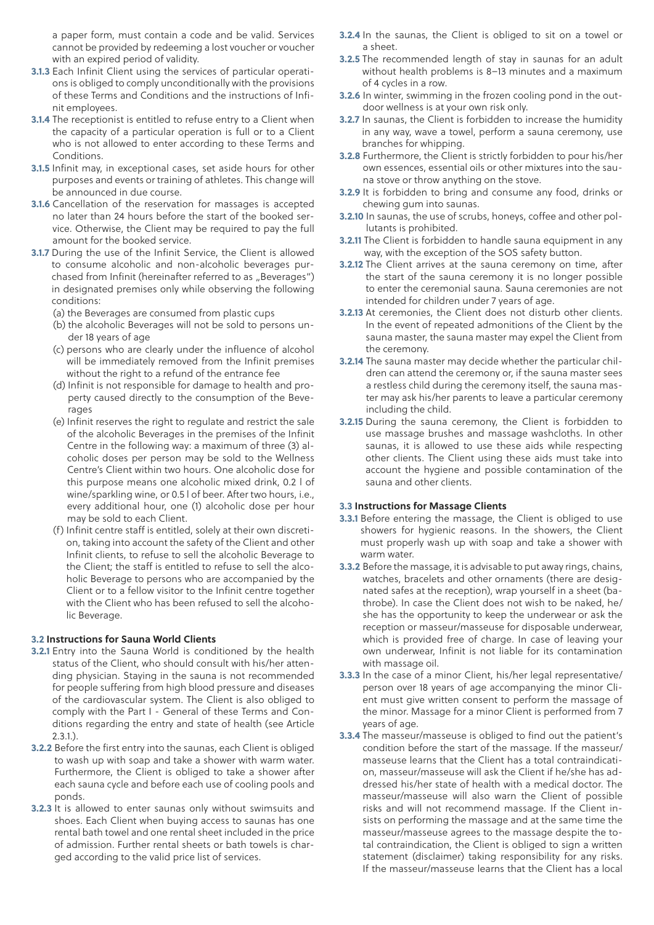a paper form, must contain a code and be valid. Services cannot be provided by redeeming a lost voucher or voucher with an expired period of validity.

- **3.1.3** Each Infinit Client using the services of particular operations is obliged to comply unconditionally with the provisions of these Terms and Conditions and the instructions of Infinit employees.
- **3.1.4** The receptionist is entitled to refuse entry to a Client when the capacity of a particular operation is full or to a Client who is not allowed to enter according to these Terms and Conditions.
- **3.1.5** Infinit may, in exceptional cases, set aside hours for other purposes and events or training of athletes. This change will be announced in due course.
- **3.1.6** Cancellation of the reservation for massages is accepted no later than 24 hours before the start of the booked service. Otherwise, the Client may be required to pay the full amount for the booked service.
- **3.1.7** During the use of the Infinit Service, the Client is allowed to consume alcoholic and non-alcoholic beverages purchased from Infinit (hereinafter referred to as "Beverages") in designated premises only while observing the following conditions:
	- (a) the Beverages are consumed from plastic cups
	- (b) the alcoholic Beverages will not be sold to persons under 18 years of age
	- (c) persons who are clearly under the influence of alcohol will be immediately removed from the Infinit premises without the right to a refund of the entrance fee
	- (d) Infinit is not responsible for damage to health and property caused directly to the consumption of the Beverages
	- (e) Infinit reserves the right to regulate and restrict the sale of the alcoholic Beverages in the premises of the Infinit Centre in the following way: a maximum of three (3) alcoholic doses per person may be sold to the Wellness Centre's Client within two hours. One alcoholic dose for this purpose means one alcoholic mixed drink, 0.2 l of wine/sparkling wine, or 0.5 l of beer. After two hours, i.e., every additional hour, one (1) alcoholic dose per hour may be sold to each Client.
	- (f) Infinit centre staff is entitled, solely at their own discretion, taking into account the safety of the Client and other Infinit clients, to refuse to sell the alcoholic Beverage to the Client; the staff is entitled to refuse to sell the alcoholic Beverage to persons who are accompanied by the Client or to a fellow visitor to the Infinit centre together with the Client who has been refused to sell the alcoholic Beverage.

# **3.2 Instructions for Sauna World Clients**

- **3.2.1** Entry into the Sauna World is conditioned by the health status of the Client, who should consult with his/her attending physician. Staying in the sauna is not recommended for people suffering from high blood pressure and diseases of the cardiovascular system. The Client is also obliged to comply with the Part I - General of these Terms and Conditions regarding the entry and state of health (see Article 2.3.1.).
- **3.2.2** Before the first entry into the saunas, each Client is obliged to wash up with soap and take a shower with warm water. Furthermore, the Client is obliged to take a shower after each sauna cycle and before each use of cooling pools and ponds.
- **3.2.3** It is allowed to enter saunas only without swimsuits and shoes. Each Client when buying access to saunas has one rental bath towel and one rental sheet included in the price of admission. Further rental sheets or bath towels is charged according to the valid price list of services.
- **3.2.4** In the saunas, the Client is obliged to sit on a towel or a sheet.
- **3.2.5** The recommended length of stay in saunas for an adult without health problems is 8–13 minutes and a maximum of 4 cycles in a row.
- **3.2.6** In winter, swimming in the frozen cooling pond in the outdoor wellness is at your own risk only.
- **3.2.7** In saunas, the Client is forbidden to increase the humidity in any way, wave a towel, perform a sauna ceremony, use branches for whipping.
- **3.2.8** Furthermore, the Client is strictly forbidden to pour his/her own essences, essential oils or other mixtures into the sauna stove or throw anything on the stove.
- **3.2.9** It is forbidden to bring and consume any food, drinks or chewing gum into saunas.
- **3.2.10** In saunas, the use of scrubs, honeys, coffee and other pollutants is prohibited.
- **3.2.11** The Client is forbidden to handle sauna equipment in any way, with the exception of the SOS safety button.
- **3.2.12** The Client arrives at the sauna ceremony on time, after the start of the sauna ceremony it is no longer possible to enter the ceremonial sauna. Sauna ceremonies are not intended for children under 7 years of age.
- **3.2.13** At ceremonies, the Client does not disturb other clients. In the event of repeated admonitions of the Client by the sauna master, the sauna master may expel the Client from the ceremony.
- **3.2.14** The sauna master may decide whether the particular children can attend the ceremony or, if the sauna master sees a restless child during the ceremony itself, the sauna master may ask his/her parents to leave a particular ceremony including the child.
- **3.2.15** During the sauna ceremony, the Client is forbidden to use massage brushes and massage washcloths. In other saunas, it is allowed to use these aids while respecting other clients. The Client using these aids must take into account the hygiene and possible contamination of the sauna and other clients.

#### **3.3 Instructions for Massage Clients**

- **3.3.1** Before entering the massage, the Client is obliged to use showers for hygienic reasons. In the showers, the Client must properly wash up with soap and take a shower with warm water.
- **3.3.2** Before the massage, it is advisable to put away rings, chains, watches, bracelets and other ornaments (there are designated safes at the reception), wrap yourself in a sheet (bathrobe). In case the Client does not wish to be naked, he/ she has the opportunity to keep the underwear or ask the reception or masseur/masseuse for disposable underwear, which is provided free of charge. In case of leaving your own underwear, Infinit is not liable for its contamination with massage oil.
- **3.3.3** In the case of a minor Client, his/her legal representative/ person over 18 years of age accompanying the minor Client must give written consent to perform the massage of the minor. Massage for a minor Client is performed from 7 years of age.
- **3.3.4** The masseur/masseuse is obliged to find out the patient's condition before the start of the massage. If the masseur/ masseuse learns that the Client has a total contraindication, masseur/masseuse will ask the Client if he/she has addressed his/her state of health with a medical doctor. The masseur/masseuse will also warn the Client of possible risks and will not recommend massage. If the Client insists on performing the massage and at the same time the masseur/masseuse agrees to the massage despite the total contraindication, the Client is obliged to sign a written statement (disclaimer) taking responsibility for any risks. If the masseur/masseuse learns that the Client has a local